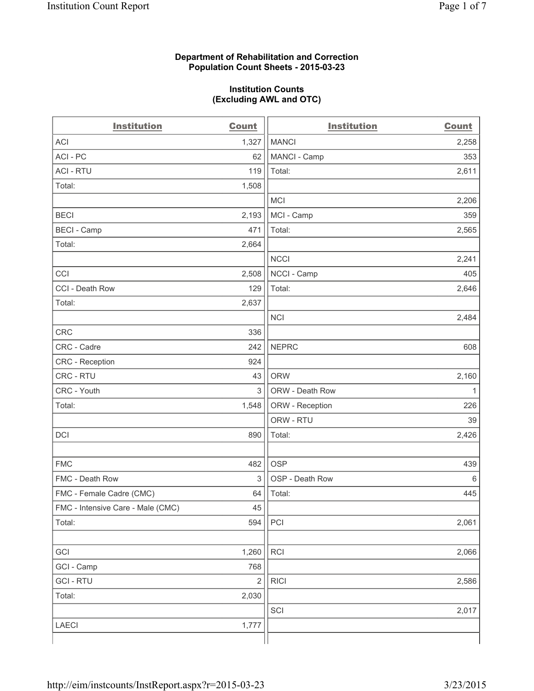## **Department of Rehabilitation and Correction Population Count Sheets - 2015-03-23**

## **Institution Counts (Excluding AWL and OTC)**

| <b>Institution</b>                | <b>Count</b>            | <b>Institution</b> | <b>Count</b> |
|-----------------------------------|-------------------------|--------------------|--------------|
| <b>ACI</b>                        | 1,327                   | <b>MANCI</b>       | 2,258        |
| ACI-PC                            | 62                      | MANCI - Camp       | 353          |
| <b>ACI - RTU</b>                  | 119                     | Total:             | 2,611        |
| Total:                            | 1,508                   |                    |              |
|                                   |                         | <b>MCI</b>         | 2,206        |
| <b>BECI</b>                       | 2,193                   | MCI - Camp         | 359          |
| <b>BECI</b> - Camp                | 471                     | Total:             | 2,565        |
| Total:                            | 2,664                   |                    |              |
|                                   |                         | <b>NCCI</b>        | 2,241        |
| CCI                               | 2,508                   | NCCI - Camp        | 405          |
| CCI - Death Row                   | 129                     | Total:             | 2,646        |
| Total:                            | 2,637                   |                    |              |
|                                   |                         | <b>NCI</b>         | 2,484        |
| <b>CRC</b>                        | 336                     |                    |              |
| CRC - Cadre                       | 242                     | <b>NEPRC</b>       | 608          |
| CRC - Reception                   | 924                     |                    |              |
| CRC - RTU                         | 43                      | <b>ORW</b>         | 2,160        |
| CRC - Youth                       | 3                       | ORW - Death Row    | 1            |
| Total:                            | 1,548                   | ORW - Reception    | 226          |
|                                   |                         | ORW - RTU          | 39           |
| DCI                               | 890                     | Total:             | 2,426        |
|                                   |                         |                    |              |
| <b>FMC</b>                        | 482                     | <b>OSP</b>         | 439          |
| FMC - Death Row                   | 3                       | OSP - Death Row    | 6            |
| FMC - Female Cadre (CMC)          | 64                      | Total:             | 445          |
| FMC - Intensive Care - Male (CMC) | 45                      |                    |              |
| Total:                            | 594                     | PCI                | 2,061        |
|                                   |                         |                    |              |
| GCI                               | 1,260                   | <b>RCI</b>         | 2,066        |
| GCI - Camp                        | 768                     |                    |              |
| <b>GCI-RTU</b>                    | $\overline{\mathbf{c}}$ | <b>RICI</b>        | 2,586        |
| Total:                            | 2,030                   |                    |              |
|                                   |                         | SCI                | 2,017        |
| <b>LAECI</b>                      | 1,777                   |                    |              |
|                                   |                         |                    |              |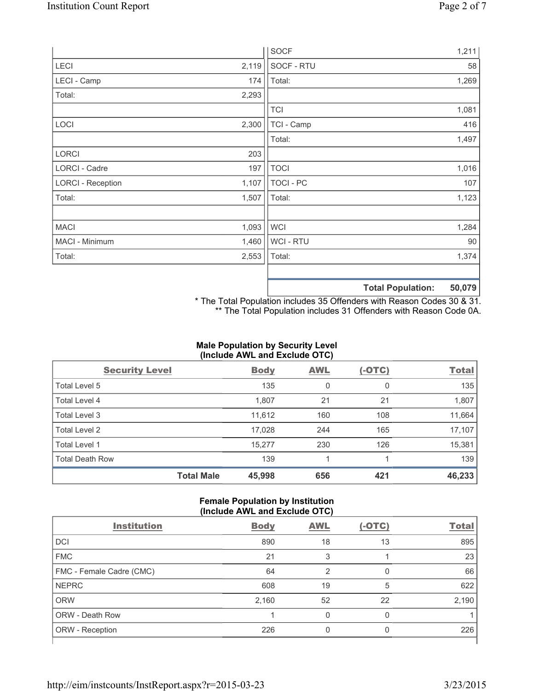|                          |       | <b>SOCF</b>      | 1,211                       |
|--------------------------|-------|------------------|-----------------------------|
| LECI                     | 2,119 | SOCF - RTU       | 58                          |
| LECI - Camp              | 174   | Total:           | 1,269                       |
| Total:                   | 2,293 |                  |                             |
|                          |       | <b>TCI</b>       | 1,081                       |
| LOCI                     | 2,300 | TCI - Camp       | 416                         |
|                          |       | Total:           | 1,497                       |
| LORCI                    | 203   |                  |                             |
| LORCI - Cadre            | 197   | <b>TOCI</b>      | 1,016                       |
| <b>LORCI - Reception</b> | 1,107 | <b>TOCI - PC</b> | 107                         |
| Total:                   | 1,507 | Total:           | 1,123                       |
|                          |       |                  |                             |
| <b>MACI</b>              | 1,093 | <b>WCI</b>       | 1,284                       |
| MACI - Minimum           | 1,460 | WCI - RTU        | 90                          |
| Total:                   | 2,553 | Total:           | 1,374                       |
|                          |       |                  |                             |
|                          |       |                  | EO OTO<br>Tatal Damilations |

**Total Population: 50,079**

\* The Total Population includes 35 Offenders with Reason Codes 30 & 31. \*\* The Total Population includes 31 Offenders with Reason Code 0A.

# **Male Population by Security Level (Include AWL and Exclude OTC)**

| <b>Security Level</b>  |                   | <b>Body</b> | <b>AWL</b> | $(-OTC)$ | <b>Total</b> |
|------------------------|-------------------|-------------|------------|----------|--------------|
| Total Level 5          |                   | 135         | 0          | 0        | 135          |
| <b>Total Level 4</b>   |                   | 1,807       | 21         | 21       | 1,807        |
| Total Level 3          |                   | 11,612      | 160        | 108      | 11,664       |
| Total Level 2          |                   | 17,028      | 244        | 165      | 17,107       |
| <b>Total Level 1</b>   |                   | 15,277      | 230        | 126      | 15,381       |
| <b>Total Death Row</b> |                   | 139         |            |          | 139          |
|                        | <b>Total Male</b> | 45,998      | 656        | 421      | 46,233       |

### **Female Population by Institution (Include AWL and Exclude OTC)**

| <b>Institution</b>       | <b>Body</b> | <b>AWL</b> | $(-OTC)$ | <b>Total</b> |
|--------------------------|-------------|------------|----------|--------------|
| <b>DCI</b>               | 890         | 18         | 13       | 895          |
| <b>FMC</b>               | 21          | 3          |          | 23           |
| FMC - Female Cadre (CMC) | 64          | 2          | 0        | 66           |
| <b>NEPRC</b>             | 608         | 19         | 5        | 622          |
| <b>ORW</b>               | 2,160       | 52         | 22       | 2,190        |
| <b>ORW - Death Row</b>   |             | 0          | 0        |              |
| ORW - Reception          | 226         |            | 0        | 226          |
|                          |             |            |          |              |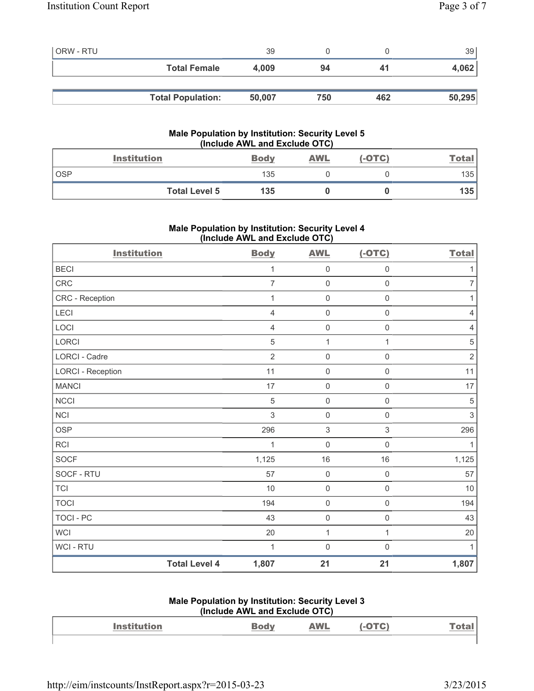| <b>ORW - RTU</b> |                          | 39     |     |     | 39     |
|------------------|--------------------------|--------|-----|-----|--------|
|                  | <b>Total Female</b>      | 4.009  | 94  | 41  | 4,062  |
|                  |                          |        |     |     |        |
|                  | <b>Total Population:</b> | 50,007 | 750 | 462 | 50,295 |

# **Male Population by Institution: Security Level 5 (Include AWL and Exclude OTC)**

|            | <b>Institution</b>   | <b>Body</b> | AWL | $(-OTC)$ | <u>Total</u> |
|------------|----------------------|-------------|-----|----------|--------------|
| <b>OSP</b> |                      | 135         |     |          | 135          |
|            | <b>Total Level 5</b> | 135         |     |          | 135          |

# **Male Population by Institution: Security Level 4 (Include AWL and Exclude OTC)**

| <b>Institution</b> |                      | <b>Body</b>    | <b>AWL</b>          | $(-OTC)$            | <b>Total</b>   |
|--------------------|----------------------|----------------|---------------------|---------------------|----------------|
| <b>BECI</b>        |                      | 1              | $\mathsf{O}\xspace$ | $\mathsf{O}\xspace$ | $\mathbf{1}$   |
| <b>CRC</b>         |                      | $\overline{7}$ | $\mathbf 0$         | $\mathsf 0$         | $\overline{7}$ |
| CRC - Reception    |                      | 1              | $\mathsf{O}\xspace$ | $\mathbf 0$         | 1              |
| LECI               |                      | 4              | $\mathbf 0$         | $\mathbf 0$         | $\overline{4}$ |
| LOCI               |                      | $\overline{4}$ | $\mathbf 0$         | $\mathsf{O}\xspace$ | $\overline{4}$ |
| <b>LORCI</b>       |                      | $\sqrt{5}$     | $\mathbf{1}$        | $\mathbf{1}$        | $\sqrt{5}$     |
| LORCI - Cadre      |                      | $\overline{2}$ | $\mathsf{O}\xspace$ | $\mathsf{O}\xspace$ | $\sqrt{2}$     |
| LORCI - Reception  |                      | 11             | $\mathbf 0$         | $\mathsf{O}\xspace$ | 11             |
| <b>MANCI</b>       |                      | 17             | $\mathsf{O}\xspace$ | $\mathsf{O}\xspace$ | 17             |
| <b>NCCI</b>        |                      | $\sqrt{5}$     | $\mathsf{O}\xspace$ | $\mathsf{O}\xspace$ | $\sqrt{5}$     |
| <b>NCI</b>         |                      | 3              | $\mathbf 0$         | $\mathsf{O}\xspace$ | $\sqrt{3}$     |
| <b>OSP</b>         |                      | 296            | $\sqrt{3}$          | $\,$ 3 $\,$         | 296            |
| <b>RCI</b>         |                      | 1              | $\mathbf 0$         | $\mathsf{O}\xspace$ | $\mathbf{1}$   |
| <b>SOCF</b>        |                      | 1,125          | 16                  | 16                  | 1,125          |
| SOCF - RTU         |                      | 57             | $\mathsf{O}\xspace$ | $\mathsf{O}\xspace$ | 57             |
| <b>TCI</b>         |                      | 10             | $\mathsf{O}\xspace$ | $\mathsf{O}\xspace$ | 10             |
| <b>TOCI</b>        |                      | 194            | $\mathsf{O}\xspace$ | $\mathsf{O}\xspace$ | 194            |
| <b>TOCI - PC</b>   |                      | 43             | $\mathsf{O}\xspace$ | $\mathsf{O}\xspace$ | 43             |
| <b>WCI</b>         |                      | 20             | $\mathbf{1}$        | $\mathbf{1}$        | 20             |
| <b>WCI - RTU</b>   |                      | 1              | $\mathbf 0$         | $\mathsf{O}\xspace$ | $\mathbf{1}$   |
|                    | <b>Total Level 4</b> | 1,807          | 21                  | 21                  | 1,807          |

#### **Male Population by Institution: Security Level 3 (Include AWL and Exclude OTC)**

| $(1101000 \text{ A})$ |                    |  |            |  |              |  |
|-----------------------|--------------------|--|------------|--|--------------|--|
|                       | <b>Institution</b> |  | <b>AWL</b> |  | <u>Total</u> |  |
|                       |                    |  |            |  |              |  |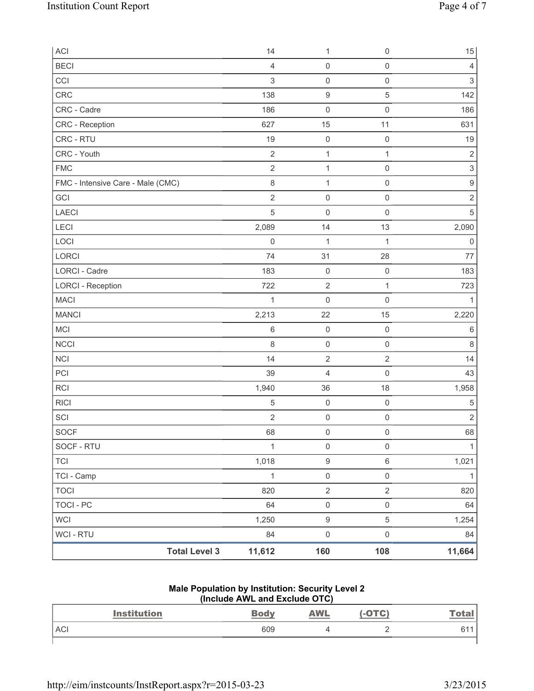| ACI                               | 14                             | $\mathbf{1}$             | $\mathsf{O}\xspace$ | 15               |
|-----------------------------------|--------------------------------|--------------------------|---------------------|------------------|
| <b>BECI</b>                       | $\overline{4}$                 | $\mathsf 0$              | $\mathsf{O}\xspace$ | $\overline{4}$   |
| CCI                               | $\sqrt{3}$                     | $\mathsf{O}\xspace$      | $\mathsf 0$         | $\,$ 3 $\,$      |
| <b>CRC</b>                        | 138                            | $\boldsymbol{9}$         | $\,$ 5 $\,$         | 142              |
| CRC - Cadre                       | 186                            | $\mathsf{O}\xspace$      | $\mathsf 0$         | 186              |
| CRC - Reception                   | 627                            | 15                       | 11                  | 631              |
| CRC - RTU                         | 19                             | $\mathsf{O}\xspace$      | $\mathsf 0$         | 19               |
| CRC - Youth                       | $\mathbf 2$                    | $\mathbf{1}$             | $\mathbf{1}$        | $\sqrt{2}$       |
| <b>FMC</b>                        | $\overline{2}$                 | $\mathbf{1}$             | $\mathsf{O}\xspace$ | $\,$ 3 $\,$      |
| FMC - Intensive Care - Male (CMC) | $\,8\,$                        | $\mathbf{1}$             | $\mathsf{O}\xspace$ | $\boldsymbol{9}$ |
| GCI                               | $\overline{2}$                 | $\mathsf{O}\xspace$      | $\mathsf{O}\xspace$ | $\sqrt{2}$       |
| LAECI                             | $\sqrt{5}$                     | $\mathsf{O}\xspace$      | $\mathsf{O}\xspace$ | $\,$ 5 $\,$      |
| <b>LECI</b>                       | 2,089                          | 14                       | 13                  | 2,090            |
| LOCI                              | $\mathbf 0$                    | $\mathbf{1}$             | $\mathbf{1}$        | $\mathbf 0$      |
| <b>LORCI</b>                      | 74                             | 31                       | 28                  | $77 \,$          |
| <b>LORCI - Cadre</b>              | 183                            | $\mathsf{O}\xspace$      | $\mathsf 0$         | 183              |
| <b>LORCI - Reception</b>          | 722                            | $\sqrt{2}$               | $\mathbf{1}$        | 723              |
| <b>MACI</b>                       |                                | 1<br>$\mathsf{O}\xspace$ | $\mathsf 0$         | $\mathbf{1}$     |
| <b>MANCI</b>                      | 2,213                          | 22                       | 15                  | 2,220            |
| MCI                               | $\,6\,$                        | $\mathsf{O}\xspace$      | $\mathsf 0$         | $\,6\,$          |
| <b>NCCI</b>                       | 8                              | $\mathsf{O}\xspace$      | $\mathsf{O}\xspace$ | $\,8\,$          |
| <b>NCI</b>                        | 14                             | $\mathbf 2$              | $\overline{2}$      | 14               |
| PCI                               | 39                             | $\overline{4}$           | $\mathsf{O}\xspace$ | 43               |
| <b>RCI</b>                        | 1,940                          | 36                       | 18                  | 1,958            |
| <b>RICI</b>                       | $\,$ 5 $\,$                    | $\mathsf{O}\xspace$      | $\mathsf 0$         | $\,$ 5 $\,$      |
| SCI                               | $\overline{2}$                 | $\mathsf{O}\xspace$      | $\mathsf{O}\xspace$ | $\overline{2}$   |
| SOCF                              | 68                             | $\mathsf 0$              | $\mathsf{O}\xspace$ | 68               |
| SOCF - RTU                        | $\mathbf{1}$                   | $\mathsf{O}\xspace$      | $\mathsf{O}\xspace$ | $\mathbf{1}$     |
| <b>TCI</b>                        | 1,018                          | $\hbox{9}$               | 6                   | 1,021            |
| TCI - Camp                        |                                | $\mbox{O}$<br>1          | $\mathsf{O}\xspace$ | 1                |
| <b>TOCI</b>                       | 820                            | $\sqrt{2}$               | $\overline{2}$      | 820              |
| <b>TOCI - PC</b>                  | 64                             | $\mathsf{O}\xspace$      | $\mathsf{O}\xspace$ | 64               |
| <b>WCI</b>                        | 1,250                          | $\boldsymbol{9}$         | 5                   | 1,254            |
| <b>WCI - RTU</b>                  | 84                             | $\mathsf{O}\xspace$      | $\mathsf{O}\xspace$ | 84               |
|                                   | <b>Total Level 3</b><br>11,612 | 160                      | 108                 | 11,664           |

#### **Male Population by Institution: Security Level 2 (Include AWL and Exclude OTC)**

| <b>Institution</b> | <b>Body</b> | <b>AWL</b> | $(-OTC)$ | <u>Total</u> |
|--------------------|-------------|------------|----------|--------------|
| <b>ACI</b>         | 609         |            |          | 61           |
|                    |             |            |          |              |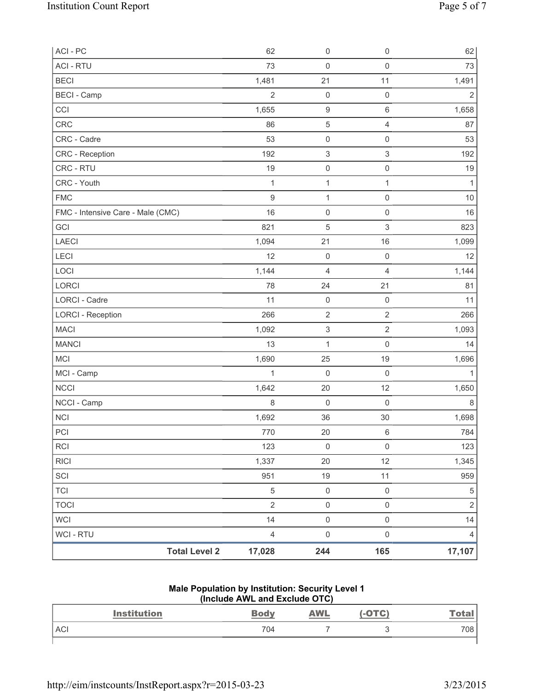| ACI - PC                          | 62               | $\mathsf 0$               | $\mathsf{O}\xspace$ | 62             |
|-----------------------------------|------------------|---------------------------|---------------------|----------------|
| <b>ACI - RTU</b>                  | 73               | 0                         | $\mathsf{O}\xspace$ | 73             |
| <b>BECI</b>                       | 1,481            | 21                        | 11                  | 1,491          |
| <b>BECI</b> - Camp                | $\overline{2}$   | $\mathsf 0$               | $\mathsf 0$         | $\overline{2}$ |
| CCI                               | 1,655            | $\boldsymbol{9}$          | $\,6\,$             | 1,658          |
| <b>CRC</b>                        | 86               | $\,$ 5 $\,$               | $\overline{4}$      | 87             |
| CRC - Cadre                       | 53               | $\mathsf 0$               | $\mathsf{O}\xspace$ | 53             |
| <b>CRC</b> - Reception            | 192              | $\ensuremath{\mathsf{3}}$ | $\,$ 3 $\,$         | 192            |
| CRC - RTU                         | 19               | 0                         | $\mathsf 0$         | 19             |
| CRC - Youth                       | $\mathbf{1}$     | $\mathbf{1}$              | $\mathbf{1}$        | 1              |
| <b>FMC</b>                        | $\boldsymbol{9}$ | $\mathbf{1}$              | $\mathsf{O}\xspace$ | 10             |
| FMC - Intensive Care - Male (CMC) | 16               | $\mathsf 0$               | $\mathsf 0$         | 16             |
| GCI                               | 821              | 5                         | 3                   | 823            |
| <b>LAECI</b>                      | 1,094            | 21                        | 16                  | 1,099          |
| LECI                              | 12               | 0                         | $\mathsf 0$         | 12             |
| LOCI                              | 1,144            | 4                         | $\overline{4}$      | 1,144          |
| LORCI                             | 78               | 24                        | 21                  | 81             |
| LORCI - Cadre                     | 11               | 0                         | $\mathsf 0$         | 11             |
| <b>LORCI - Reception</b>          | 266              | $\overline{2}$            | $\sqrt{2}$          | 266            |
| <b>MACI</b>                       | 1,092            | $\ensuremath{\mathsf{3}}$ | $\sqrt{2}$          | 1,093          |
| <b>MANCI</b>                      | 13               | $\mathbf{1}$              | $\mathbf 0$         | 14             |
| <b>MCI</b>                        | 1,690            | 25                        | 19                  | 1,696          |
| MCI - Camp                        | 1                | $\mathsf 0$               | $\mathsf{O}\xspace$ | $\mathbf{1}$   |
| NCCI                              | 1,642            | 20                        | 12                  | 1,650          |
| NCCI - Camp                       | 8                | $\mathsf{O}\xspace$       | $\mathsf{O}\xspace$ | 8              |
| NCI                               | 1,692            | 36                        | 30                  | 1,698          |
| PCI                               | 770              | 20                        | $6\,$               | 784            |
| <b>RCI</b>                        | 123              | $\mathsf{O}\xspace$       | $\mathsf 0$         | 123            |
| <b>RICI</b>                       | 1,337            | 20                        | 12                  | 1,345          |
| SCI                               | 951              | 19                        | 11                  | 959            |
| <b>TCI</b>                        | $\sqrt{5}$       | $\mathsf 0$               | $\mathsf 0$         | 5              |
| <b>TOCI</b>                       | $\sqrt{2}$       | $\mathsf{O}\xspace$       | $\mathsf{O}\xspace$ | $\mathbf 2$    |
| <b>WCI</b>                        | 14               | $\mathsf{O}\xspace$       | $\mathsf{O}\xspace$ | 14             |
| WCI - RTU                         | $\overline{4}$   | $\mathsf{O}\xspace$       | $\mathsf{O}\xspace$ | 4              |
| <b>Total Level 2</b>              | 17,028           | 244                       | 165                 | 17,107         |

#### **Male Population by Institution: Security Level 1 (Include AWL and Exclude OTC)**

| <b>Institution</b> | <b>Body</b> | <b>AWL</b> | <b>(-OTC)</b> | <u>Total</u> |
|--------------------|-------------|------------|---------------|--------------|
| <b>ACI</b>         | 704         |            |               | 708          |
|                    |             |            |               |              |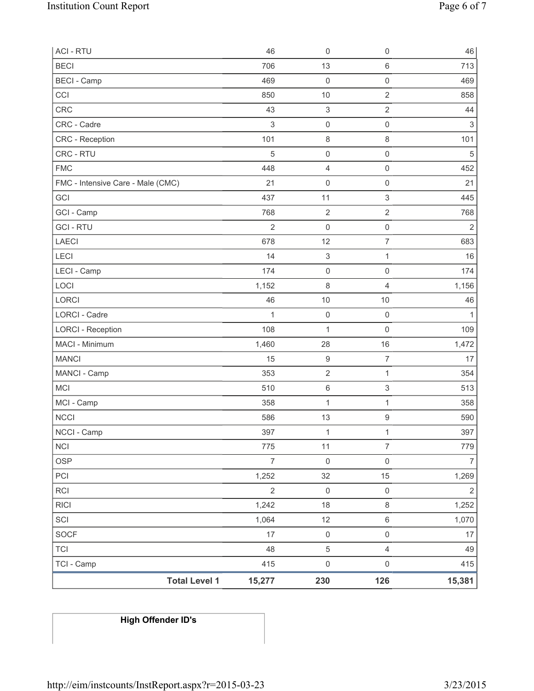| <b>ACI - RTU</b>                  | 46                        | $\mathsf 0$               | $\mathbf 0$               | 46             |
|-----------------------------------|---------------------------|---------------------------|---------------------------|----------------|
| <b>BECI</b>                       | 706                       | 13                        | $\,6\,$                   | 713            |
| <b>BECI</b> - Camp                | 469                       | $\mathsf{O}\xspace$       | $\mathbf 0$               | 469            |
| CCI                               | 850                       | 10                        | $\sqrt{2}$                | 858            |
| CRC                               | 43                        | $\ensuremath{\mathsf{3}}$ | $\sqrt{2}$                | 44             |
| CRC - Cadre                       | $\ensuremath{\mathsf{3}}$ | $\mathsf{O}\xspace$       | $\mathsf 0$               | $\mathfrak{S}$ |
| <b>CRC</b> - Reception            | 101                       | $\,8\,$                   | $\,8\,$                   | 101            |
| CRC - RTU                         | 5                         | $\mathsf 0$               | $\mathsf 0$               | $\sqrt{5}$     |
| <b>FMC</b>                        | 448                       | 4                         | $\mathsf 0$               | 452            |
| FMC - Intensive Care - Male (CMC) | 21                        | $\mathsf 0$               | $\mathsf{O}\xspace$       | 21             |
| GCI                               | 437                       | 11                        | $\ensuremath{\mathsf{3}}$ | 445            |
| GCI - Camp                        | 768                       | $\sqrt{2}$                | $\sqrt{2}$                | 768            |
| <b>GCI-RTU</b>                    | $\overline{2}$            | 0                         | $\mathsf 0$               | 2              |
| <b>LAECI</b>                      | 678                       | 12                        | $\overline{7}$            | 683            |
| <b>LECI</b>                       | 14                        | $\ensuremath{\mathsf{3}}$ | 1                         | 16             |
| LECI - Camp                       | 174                       | $\mathsf{O}\xspace$       | $\mathsf{O}\xspace$       | 174            |
| LOCI                              | 1,152                     | $\,8\,$                   | $\overline{4}$            | 1,156          |
| LORCI                             | 46                        | 10                        | 10                        | 46             |
| <b>LORCI - Cadre</b>              | $\mathbf{1}$              | $\mathsf{O}\xspace$       | $\mathsf 0$               | $\mathbf{1}$   |
| <b>LORCI - Reception</b>          | 108                       | $\mathbf 1$               | $\mathsf 0$               | 109            |
| MACI - Minimum                    | 1,460                     | 28                        | 16                        | 1,472          |
| <b>MANCI</b>                      | 15                        | $\boldsymbol{9}$          | $\boldsymbol{7}$          | 17             |
| MANCI - Camp                      | 353                       | $\sqrt{2}$                | $\mathbf{1}$              | 354            |
| <b>MCI</b>                        | 510                       | $\,6\,$                   | $\ensuremath{\mathsf{3}}$ | 513            |
| MCI - Camp                        | 358                       | 1                         | 1                         | 358            |
| <b>NCCI</b>                       | 586                       | 13                        | $\boldsymbol{9}$          | 590            |
| NCCI - Camp                       | 397                       | 1                         | 1                         | 397            |
| <b>NCI</b>                        | 775                       | 11                        | $\overline{7}$            | 779            |
| <b>OSP</b>                        | $\boldsymbol{7}$          | $\mathsf{O}\xspace$       | $\mathsf 0$               | $\overline{7}$ |
| PCI                               | 1,252                     | 32                        | 15                        | 1,269          |
| RCI                               | $\overline{2}$            | $\mathsf{0}$              | $\mathsf{O}\xspace$       | $\sqrt{2}$     |
| <b>RICI</b>                       | 1,242                     | $18$                      | $\,8\,$                   | 1,252          |
| SCI                               | 1,064                     | 12                        | $\,6\,$                   | 1,070          |
| <b>SOCF</b>                       | 17                        | $\mathsf{O}\xspace$       | $\mathsf 0$               | 17             |
| <b>TCI</b>                        | 48                        | $\mathbf 5$               | $\overline{4}$            | 49             |
| TCI - Camp                        | 415                       | $\mathsf{O}\xspace$       | $\mathsf 0$               | 415            |
| <b>Total Level 1</b>              | 15,277                    | 230                       | 126                       | 15,381         |

# **High Offender ID's**